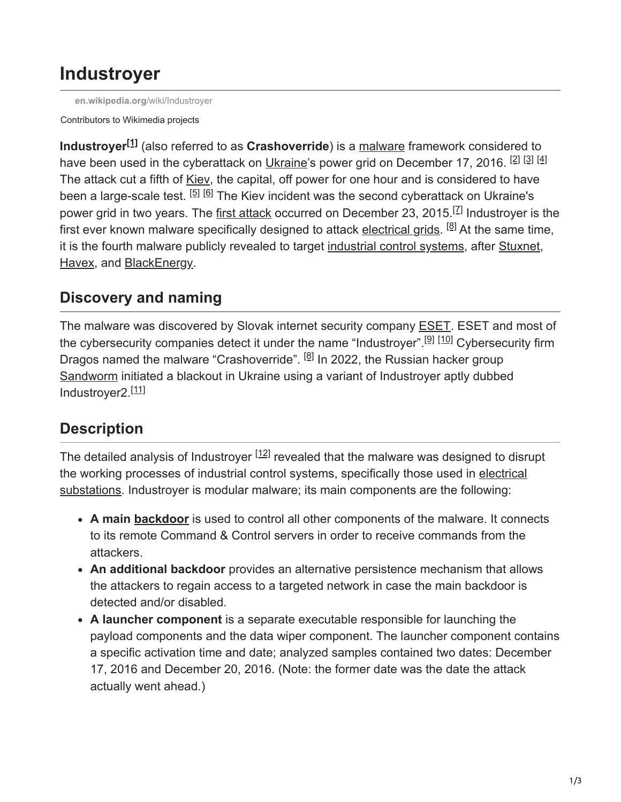# **Industroyer**

**[en.wikipedia.org](https://en.wikipedia.org/wiki/Industroyer)**/wiki/Industroyer

Contributors to Wikimedia projects

**Industroyer**<sup>[1]</sup> (also referred to as Crashoverride) is a [malware](https://en.wikipedia.org/wiki/Malware) framework considered to have been used in the cyberattack on [Ukraine](https://en.wikipedia.org/wiki/Ukraine)'s power grid on December 17, 2016. <sup>[2] [3]</sup> [4] The attack cut a fifth of [Kiev](https://en.wikipedia.org/wiki/Kiev), the capital, off power for one hour and is considered to have been a large-scale test. <sup>[5] [6]</sup> The Kiev incident was the second cyberattack on Ukraine's power grid in two years. The [first attack](https://en.wikipedia.org/wiki/December_2015_Ukraine_power_grid_cyberattack) occurred on December 23, 2015.<sup>[Z]</sup> Industroyer is the first ever known malware specifically designed to attack [electrical grids.](https://en.wikipedia.org/wiki/Electrical_grid) <sup>[8]</sup> At the same time, it is the fourth malware publicly revealed to target [industrial control systems,](https://en.wikipedia.org/wiki/Industrial_control_systems) after [Stuxnet](https://en.wikipedia.org/wiki/Stuxnet), [Havex](https://en.wikipedia.org/wiki/Havex), and [BlackEnergy](https://en.wikipedia.org/wiki/BlackEnergy).

## **Discovery and naming**

The malware was discovered by Slovak internet security company [ESET.](https://en.wikipedia.org/wiki/ESET) ESET and most of the cybersecurity companies detect it under the name "Industroyer".<sup>[9] [10]</sup> Cybersecurity firm Dragos named the malware "Crashoverride". <sup>[8]</sup> In 2022, the Russian hacker group [Sandworm](https://en.wikipedia.org/wiki/Sandworm_(hacker_group)) initiated a blackout in Ukraine using a variant of Industroyer aptly dubbed Industroyer2.<sup>[11]</sup>

## **Description**

The detailed analysis of Industroyer  $[12]$  revealed that the malware was designed to disrupt [the working processes of industrial control systems, specifically those used in electrical](https://en.wikipedia.org/wiki/Electrical_substation) substations. Industroyer is modular malware; its main components are the following:

- **A main [backdoor](https://en.wikipedia.org/wiki/Backdoor_(computing))** is used to control all other components of the malware. It connects to its remote Command & Control servers in order to receive commands from the attackers.
- **An additional backdoor** provides an alternative persistence mechanism that allows the attackers to regain access to a targeted network in case the main backdoor is detected and/or disabled.
- **A launcher component** is a separate executable responsible for launching the payload components and the data wiper component. The launcher component contains a specific activation time and date; analyzed samples contained two dates: December 17, 2016 and December 20, 2016. (Note: the former date was the date the attack actually went ahead.)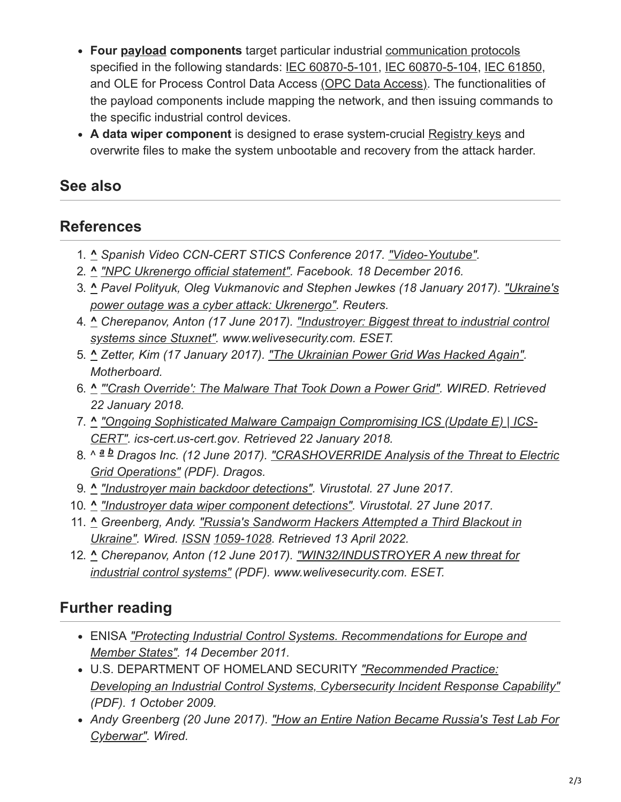- **Four [payload](https://en.wikipedia.org/wiki/Payload) components** target particular industrial [communication protocols](https://en.wikipedia.org/wiki/Communication_protocols) specified in the following standards: [IEC 60870-5-101,](https://en.wikipedia.org/wiki/IEC_60870-5-101) [IEC 60870-5-104](https://en.wikipedia.org/wiki/IEC_60870-5-104), [IEC 61850,](https://en.wikipedia.org/wiki/IEC_61850) and OLE for Process Control Data Access [\(OPC Data Access\)](https://en.wikipedia.org/w/index.php?title=(OPC_Data_Access)&action=edit&redlink=1). The functionalities of the payload components include mapping the network, and then issuing commands to the specific industrial control devices.
- **A data wiper component** is designed to erase system-crucial [Registry keys](https://en.wikipedia.org/wiki/Registry_keys) and overwrite files to make the system unbootable and recovery from the attack harder.

#### **See also**

### **References**

- 1. **^** *Spanish Video CCN-CERT STICS Conference 2017. ["Video-Youtube"](https://www.youtube.com/watch?v=BNKQTS94qUo).*
- 2. **^** *["NPC Ukrenergo official statement".](https://www.facebook.com/npcukrenergo/posts/1299616586765769:0) Facebook. 18 December 2016.*
- 3. **^** *[Pavel Polityuk, Oleg Vukmanovic and Stephen Jewkes \(18 January 2017\). "Ukraine's](https://www.reuters.com/article/us-ukraine-cyber-attack-energy-idUSKBN1521BA) power outage was a cyber attack: Ukrenergo". Reuters.*
- 4. **^** *[Cherepanov, Anton \(17 June 2017\). "Industroyer: Biggest threat to industrial control](https://www.welivesecurity.com/2017/06/12/industroyer-biggest-threat-industrial-control-systems-since-stuxnet/) systems since Stuxnet". www.welivesecurity.com. ESET.*
- 5. **^** *Zetter, Kim (17 January 2017). ["The Ukrainian Power Grid Was Hacked Again".](https://motherboard.vice.com/en_us/article/bmvkn4/ukrainian-power-station-hacking-december-2016-report) Motherboard.*
- 6. **^** *["'Crash Override': The Malware That Took Down a Power Grid".](https://www.wired.com/story/crash-override-malware/) WIRED. Retrieved 22 January 2018.*
- 7. **^** *["Ongoing Sophisticated Malware Campaign Compromising ICS \(Update E\) | ICS-](https://ics-cert.us-cert.gov/alerts/ICS-ALERT-14-281-01B)CERT". ics-cert.us-cert.gov. Retrieved 22 January 2018.*
- 8. ^ <sup>a b</sup> [Dragos Inc. \(12 June 2017\). "CRASHOVERRIDE Analysis of the Threat to Electric](https://dragos.com/blog/crashoverride/CrashOverride-01.pdf) *Grid Operations" (PDF). Dragos.*
- 9. **^** *["Industroyer main backdoor detections".](https://virustotal.com/en/file/37d54e3d5e8b838f366b9c202f75fa264611a12444e62ae759c31a0d041aa6e4/analysis/) Virustotal. 27 June 2017.*
- 10. **^** *["Industroyer data wiper component detections"](https://virustotal.com/en/file/ad23c7930dae02de1ea3c6836091b5fb3c62a89bf2bcfb83b4b39ede15904910/analysis/). Virustotal. 27 June 2017.*
- 11. **^** *[Greenberg, Andy. "Russia's Sandworm Hackers Attempted a Third Blackout in](https://www.wired.com/story/sandworm-russia-ukraine-blackout-gru/) Ukraine". Wired. [ISSN](https://en.wikipedia.org/wiki/ISSN_(identifier)) [1059-1028.](https://www.worldcat.org/issn/1059-1028) Retrieved 13 April 2022.*
- 12. **^** *[Cherepanov, Anton \(12 June 2017\). "WIN32/INDUSTROYER A new threat for](https://www.welivesecurity.com/wp-content/uploads/2017/06/Win32_Industroyer.pdf) industrial control systems" (PDF). www.welivesecurity.com. ESET.*

## **Further reading**

- ENISA *["Protecting Industrial Control Systems. Recommendations for Europe and](https://www.enisa.europa.eu/publications/protecting-industrial-control-systems.-recommendations-for-europe-and-member-states) Member States". 14 December 2011.*
- U.S. DEPARTMENT OF HOMELAND SECURITY *"Recommended Practice: [Developing an Industrial Control Systems, Cybersecurity Incident Response Capability"](https://ics-cert.us-cert.gov/sites/default/files/recommended_practices/final-RP_ics_cybersecurity_incident_response_100609.pdf) (PDF). 1 October 2009.*
- *[Andy Greenberg \(20 June 2017\). "How an Entire Nation Became Russia's Test Lab For](https://www.wired.com/story/russian-hackers-attack-ukraine/) Cyberwar". Wired.*